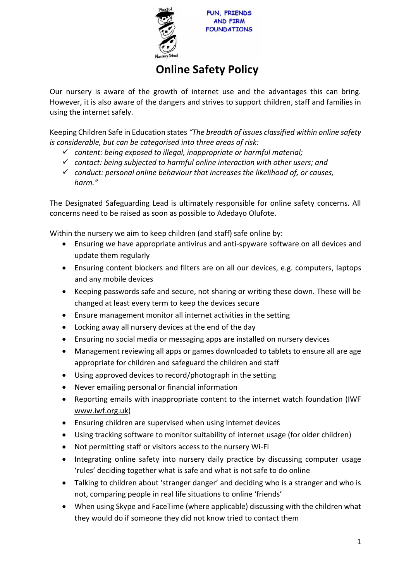

**FUN. FRIENDS AND FIRM FOUNDATIONS** 

## **Online Safety Policy**

Our nursery is aware of the growth of internet use and the advantages this can bring. However, it is also aware of the dangers and strives to support children, staff and families in using the internet safely.

Keeping Children Safe in Education states *"The breadth of issues classified within online safety is considerable, but can be categorised into three areas of risk:*

- ✓ *content: being exposed to illegal, inappropriate or harmful material;*
- ✓ *contact: being subjected to harmful online interaction with other users; and*
- ✓ *conduct: personal online behaviour that increases the likelihood of, or causes, harm."*

The Designated Safeguarding Lead is ultimately responsible for online safety concerns. All concerns need to be raised as soon as possible to Adedayo Olufote.

Within the nursery we aim to keep children (and staff) safe online by:

- Ensuring we have appropriate antivirus and anti-spyware software on all devices and update them regularly
- Ensuring content blockers and filters are on all our devices, e.g. computers, laptops and any mobile devices
- Keeping passwords safe and secure, not sharing or writing these down. These will be changed at least every term to keep the devices secure
- Ensure management monitor all internet activities in the setting
- Locking away all nursery devices at the end of the day
- Ensuring no social media or messaging apps are installed on nursery devices
- Management reviewing all apps or games downloaded to tablets to ensure all are age appropriate for children and safeguard the children and staff
- Using approved devices to record/photograph in the setting
- Never emailing personal or financial information
- Reporting emails with inappropriate content to the internet watch foundation (IWF www.iwf.org.uk)
- Ensuring children are supervised when using internet devices
- Using tracking software to monitor suitability of internet usage (for older children)
- Not permitting staff or visitors access to the nursery Wi-Fi
- Integrating online safety into nursery daily practice by discussing computer usage 'rules' deciding together what is safe and what is not safe to do online
- Talking to children about 'stranger danger' and deciding who is a stranger and who is not, comparing people in real life situations to online 'friends'
- When using Skype and FaceTime (where applicable) discussing with the children what they would do if someone they did not know tried to contact them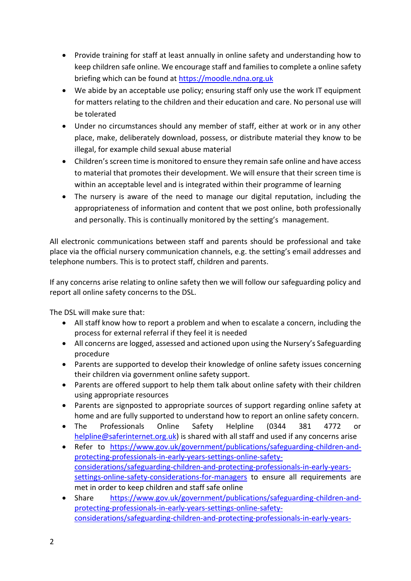- Provide training for staff at least annually in online safety and understanding how to keep children safe online. We encourage staff and families to complete a online safety briefing which can be found at [https://moodle.ndna.org.uk](https://moodle.ndna.org.uk/course/index.php?categoryid=27)
- We abide by an acceptable use policy; ensuring staff only use the work IT equipment for matters relating to the children and their education and care. No personal use will be tolerated
- Under no circumstances should any member of staff, either at work or in any other place, make, deliberately download, possess, or distribute material they know to be illegal, for example child sexual abuse material
- Children's screen time is monitored to ensure they remain safe online and have access to material that promotes their development. We will ensure that their screen time is within an acceptable level and is integrated within their programme of learning
- The nursery is aware of the need to manage our digital reputation, including the appropriateness of information and content that we post online, both professionally and personally. This is continually monitored by the setting's management.

All electronic communications between staff and parents should be professional and take place via the official nursery communication channels, e.g. the setting's email addresses and telephone numbers. This is to protect staff, children and parents.

If any concerns arise relating to online safety then we will follow our safeguarding policy and report all online safety concerns to the DSL.

The DSL will make sure that:

- All staff know how to report a problem and when to escalate a concern, including the process for external referral if they feel it is needed
- All concerns are logged, assessed and actioned upon using the Nursery's Safeguarding procedure
- Parents are supported to develop their knowledge of online safety issues concerning their children via government online safety support.
- Parents are offered support to help them talk about online safety with their children using appropriate resources
- Parents are signposted to appropriate sources of support regarding online safety at home and are fully supported to understand how to report an online safety concern.
- The Professionals Online Safety Helpline (0344 381 4772 or [helpline@saferinternet.org.uk\)](mailto:helpline@saferinternet.org.uk) is shared with all staff and used if any concerns arise
- Refer to [https://www.gov.uk/government/publications/safeguarding-children-and](https://www.gov.uk/government/publications/safeguarding-children-and-protecting-professionals-in-early-years-settings-online-safety-considerations/safeguarding-children-and-protecting-professionals-in-early-years-settings-online-safety-considerations-for-managers)[protecting-professionals-in-early-years-settings-online-safety](https://www.gov.uk/government/publications/safeguarding-children-and-protecting-professionals-in-early-years-settings-online-safety-considerations/safeguarding-children-and-protecting-professionals-in-early-years-settings-online-safety-considerations-for-managers)[considerations/safeguarding-children-and-protecting-professionals-in-early-years](https://www.gov.uk/government/publications/safeguarding-children-and-protecting-professionals-in-early-years-settings-online-safety-considerations/safeguarding-children-and-protecting-professionals-in-early-years-settings-online-safety-considerations-for-managers)[settings-online-safety-considerations-for-managers](https://www.gov.uk/government/publications/safeguarding-children-and-protecting-professionals-in-early-years-settings-online-safety-considerations/safeguarding-children-and-protecting-professionals-in-early-years-settings-online-safety-considerations-for-managers) to ensure all requirements are met in order to keep children and staff safe online
- Share [https://www.gov.uk/government/publications/safeguarding-children-and](https://www.gov.uk/government/publications/safeguarding-children-and-protecting-professionals-in-early-years-settings-online-safety-considerations/safeguarding-children-and-protecting-professionals-in-early-years-settings-online-safety-guidance-for-practitioners)[protecting-professionals-in-early-years-settings-online-safety](https://www.gov.uk/government/publications/safeguarding-children-and-protecting-professionals-in-early-years-settings-online-safety-considerations/safeguarding-children-and-protecting-professionals-in-early-years-settings-online-safety-guidance-for-practitioners)[considerations/safeguarding-children-and-protecting-professionals-in-early-years-](https://www.gov.uk/government/publications/safeguarding-children-and-protecting-professionals-in-early-years-settings-online-safety-considerations/safeguarding-children-and-protecting-professionals-in-early-years-settings-online-safety-guidance-for-practitioners)